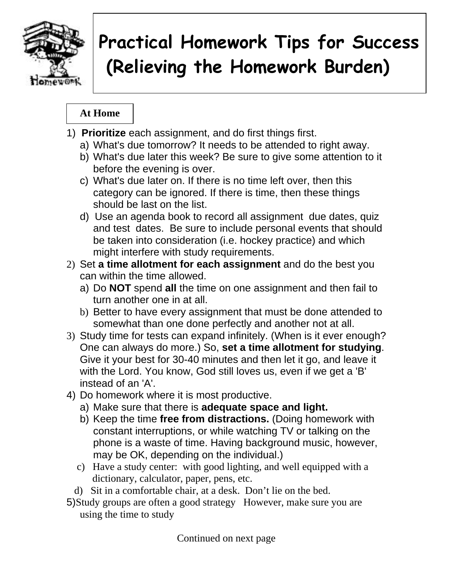

# **Practical Homework Tips for Success (Relieving the Homework Burden)**

### **At Home**

- 1) **Prioritize** each assignment, and do first things first.
	- a) What's due tomorrow? It needs to be attended to right away.
	- b) What's due later this week? Be sure to give some attention to it before the evening is over.
	- c) What's due later on. If there is no time left over, then this category can be ignored. If there is time, then these things should be last on the list.
	- d) Use an agenda book to record all assignment due dates, quiz and test dates. Be sure to include personal events that should be taken into consideration (i.e. hockey practice) and which might interfere with study requirements.
- 2) Set **a time allotment for each assignment** and do the best you can within the time allowed.
	- a) Do **NOT** spend **all** the time on one assignment and then fail to turn another one in at all.
	- b) Better to have every assignment that must be done attended to somewhat than one done perfectly and another not at all.
- 3) Study time for tests can expand infinitely. (When is it ever enough? One can always do more.) So, **set a time allotment for studying**. Give it your best for 30-40 minutes and then let it go, and leave it with the Lord. You know, God still loves us, even if we get a 'B' instead of an 'A'.
- 4) Do homework where it is most productive.
	- a) Make sure that there is **adequate space and light.**
	- b) Keep the time **free from distractions.** (Doing homework with constant interruptions, or while watching TV or talking on the phone is a waste of time. Having background music, however, may be OK, depending on the individual.)
	- c) Have a study center: with good lighting, and well equipped with a dictionary, calculator, paper, pens, etc.
	- d) Sit in a comfortable chair, at a desk. Don't lie on the bed.
- 5)Study groups are often a good strategy However, make sure you are using the time to study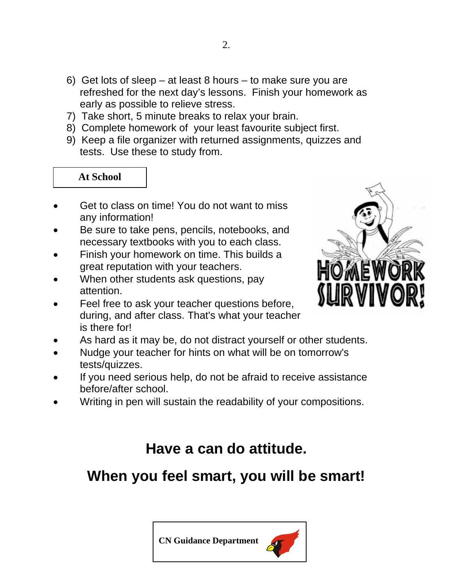- 6) Get lots of sleep at least 8 hours to make sure you are refreshed for the next day's lessons. Finish your homework as early as possible to relieve stress.
- 7) Take short, 5 minute breaks to relax your brain.
- 8) Complete homework of your least favourite subject first.
- 9) Keep a file organizer with returned assignments, quizzes and tests. Use these to study from.

#### **At School**

- Get to class on time! You do not want to miss any information!
- Be sure to take pens, pencils, notebooks, and necessary textbooks with you to each class.
- Finish your homework on time. This builds a great reputation with your teachers.
- When other students ask questions, pay attention.
- Feel free to ask your teacher questions before, during, and after class. That's what your teacher is there for!
- As hard as it may be, do not distract yourself or other students.
- Nudge your teacher for hints on what will be on tomorrow's tests/quizzes.
- If you need serious help, do not be afraid to receive assistance before/after school.
- Writing in pen will sustain the readability of your compositions.

# **Have a can do attitude.**

# **When you feel smart, you will be smart!**